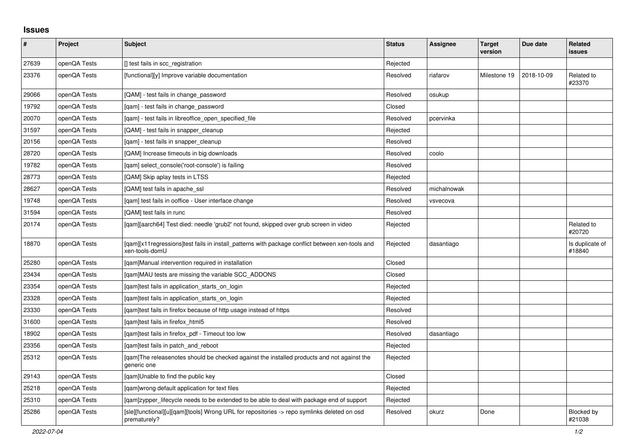## **Issues**

| #     | Project      | <b>Subject</b>                                                                                                     | <b>Status</b> | Assignee    | <b>Target</b><br>version | Due date   | <b>Related</b><br>issues    |
|-------|--------------|--------------------------------------------------------------------------------------------------------------------|---------------|-------------|--------------------------|------------|-----------------------------|
| 27639 | openQA Tests | [] test fails in scc_registration                                                                                  | Rejected      |             |                          |            |                             |
| 23376 | openQA Tests | [functional][y] Improve variable documentation                                                                     | Resolved      | riafarov    | Milestone 19             | 2018-10-09 | Related to<br>#23370        |
| 29066 | openQA Tests | [QAM] - test fails in change password                                                                              | Resolved      | osukup      |                          |            |                             |
| 19792 | openQA Tests | [qam] - test fails in change_password                                                                              | Closed        |             |                          |            |                             |
| 20070 | openQA Tests | [qam] - test fails in libreoffice_open_specified_file                                                              | Resolved      | pcervinka   |                          |            |                             |
| 31597 | openQA Tests | [QAM] - test fails in snapper cleanup                                                                              | Rejected      |             |                          |            |                             |
| 20156 | openQA Tests | [qam] - test fails in snapper_cleanup                                                                              | Resolved      |             |                          |            |                             |
| 28720 | openQA Tests | [QAM] Increase timeouts in big downloads                                                                           | Resolved      | coolo       |                          |            |                             |
| 19782 | openQA Tests | [gam] select console('root-console') is failing                                                                    | Resolved      |             |                          |            |                             |
| 28773 | openQA Tests | [QAM] Skip aplay tests in LTSS                                                                                     | Rejected      |             |                          |            |                             |
| 28627 | openQA Tests | [QAM] test fails in apache_ssl                                                                                     | Resolved      | michalnowak |                          |            |                             |
| 19748 | openQA Tests | [qam] test fails in ooffice - User interface change                                                                | Resolved      | vsvecova    |                          |            |                             |
| 31594 | openQA Tests | [QAM] test fails in runc                                                                                           | Resolved      |             |                          |            |                             |
| 20174 | openQA Tests | [gam][aarch64] Test died: needle 'grub2' not found, skipped over grub screen in video                              | Rejected      |             |                          |            | Related to<br>#20720        |
| 18870 | openQA Tests | [gam][x11 regressions]test fails in install patterns with package conflict between xen-tools and<br>xen-tools-domU | Rejected      | dasantiago  |                          |            | Is duplicate of<br>#18840   |
| 25280 | openQA Tests | [qam]Manual intervention required in installation                                                                  | Closed        |             |                          |            |                             |
| 23434 | openQA Tests | [qam]MAU tests are missing the variable SCC_ADDONS                                                                 | Closed        |             |                          |            |                             |
| 23354 | openQA Tests | [qam]test fails in application_starts_on_login                                                                     | Rejected      |             |                          |            |                             |
| 23328 | openQA Tests | [gam]test fails in application starts on login                                                                     | Rejected      |             |                          |            |                             |
| 23330 | openQA Tests | [gam]test fails in firefox because of http usage instead of https                                                  | Resolved      |             |                          |            |                             |
| 31600 | openQA Tests | [gam]test fails in firefox html5                                                                                   | Resolved      |             |                          |            |                             |
| 18902 | openQA Tests | [qam]test fails in firefox_pdf - Timeout too low                                                                   | Resolved      | dasantiago  |                          |            |                             |
| 23356 | openQA Tests | [qam]test fails in patch_and_reboot                                                                                | Rejected      |             |                          |            |                             |
| 25312 | openQA Tests | [qam]The releasenotes should be checked against the installed products and not against the<br>generic one          | Rejected      |             |                          |            |                             |
| 29143 | openQA Tests | [gam]Unable to find the public key                                                                                 | Closed        |             |                          |            |                             |
| 25218 | openQA Tests | [gam]wrong default application for text files                                                                      | Rejected      |             |                          |            |                             |
| 25310 | openQA Tests | [qam]zypper_lifecycle needs to be extended to be able to deal with package end of support                          | Rejected      |             |                          |            |                             |
| 25286 | openQA Tests | [sle][functional][u][qam][tools] Wrong URL for repositories -> repo symlinks deleted on osd<br>prematurely?        | Resolved      | okurz       | Done                     |            | <b>Blocked by</b><br>#21038 |